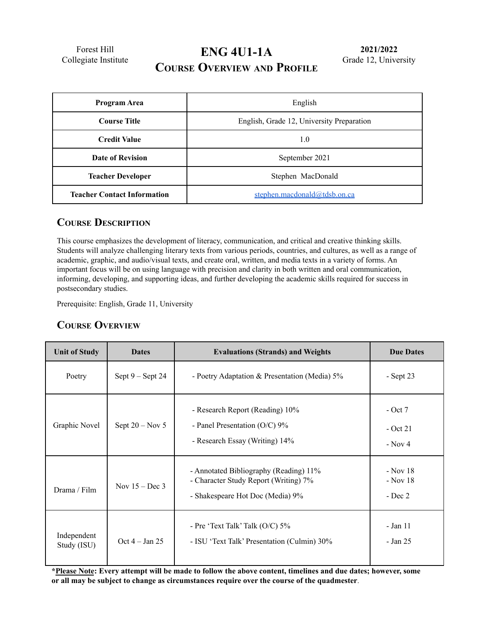Forest Hill Collegiate Institute

# **ENG 4U1-1A COURSE OVERVIEW AND PROFILE**

| Program Area                       | English                                   |  |
|------------------------------------|-------------------------------------------|--|
| <b>Course Title</b>                | English, Grade 12, University Preparation |  |
| <b>Credit Value</b>                | 1.0                                       |  |
| Date of Revision                   | September 2021                            |  |
| <b>Teacher Developer</b>           | Stephen MacDonald                         |  |
| <b>Teacher Contact Information</b> | stephen.macdonald@tdsb.on.ca              |  |

#### **COURSE DESCRIPTION**

This course emphasizes the development of literacy, communication, and critical and creative thinking skills. Students will analyze challenging literary texts from various periods, countries, and cultures, as well as a range of academic, graphic, and audio/visual texts, and create oral, written, and media texts in a variety of forms. An important focus will be on using language with precision and clarity in both written and oral communication, informing, developing, and supporting ideas, and further developing the academic skills required for success in postsecondary studies.

Prerequisite: English, Grade 11, University

#### **COURSE OVERVIEW**

| <b>Unit of Study</b>       | <b>Dates</b>       | <b>Evaluations (Strands) and Weights</b>                                                                            | <b>Due Dates</b>                     |
|----------------------------|--------------------|---------------------------------------------------------------------------------------------------------------------|--------------------------------------|
| Poetry                     | Sept $9 -$ Sept 24 | - Poetry Adaptation & Presentation (Media) $5\%$                                                                    | $-$ Sept 23                          |
| Graphic Novel              | Sept $20 - Nov 5$  | - Research Report (Reading) 10%<br>- Panel Presentation ( $O/C$ ) 9%<br>- Research Essay (Writing) 14%              | $-$ Oct 7<br>$-$ Oct 21<br>$-$ Nov 4 |
| Drama / Film               | Nov $15 - Dec 3$   | - Annotated Bibliography (Reading) 11%<br>- Character Study Report (Writing) 7%<br>- Shakespeare Hot Doc (Media) 9% | - Nov 18<br>- Nov 18<br>$-$ Dec 2    |
| Independent<br>Study (ISU) | Oct $4 - Jan 25$   | - Pre 'Text Talk' Talk $(O/C)$ 5%<br>- ISU 'Text Talk' Presentation (Culmin) 30%                                    | - Jan 11<br>- Jan 25                 |

\*Please Note: Every attempt will be made to follow the above content, timelines and due dates; however, some **or all may be subject to change as circumstances require over the course of the quadmester***.*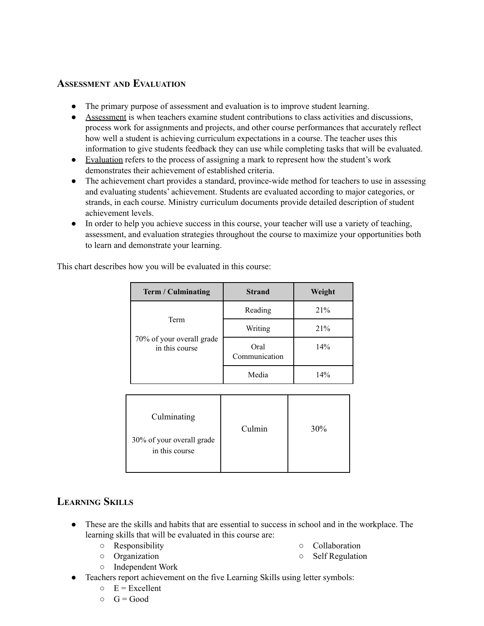#### **ASSESSMENT AND EVALUATION**

- The primary purpose of assessment and evaluation is to improve student learning.
- Assessment is when teachers examine student contributions to class activities and discussions, process work for assignments and projects, and other course performances that accurately reflect how well a student is achieving curriculum expectations in a course. The teacher uses this information to give students feedback they can use while completing tasks that will be evaluated.
- Evaluation refers to the process of assigning a mark to represent how the student's work demonstrates their achievement of established criteria.
- The achievement chart provides a standard, province-wide method for teachers to use in assessing and evaluating students' achievement. Students are evaluated according to major categories, or strands, in each course. Ministry curriculum documents provide detailed description of student achievement levels.
- In order to help you achieve success in this course, your teacher will use a variety of teaching, assessment, and evaluation strategies throughout the course to maximize your opportunities both to learn and demonstrate your learning.

This chart describes how you will be evaluated in this course:

| Term / Culminating                                  | <b>Strand</b>         | Weight |
|-----------------------------------------------------|-----------------------|--------|
| Term<br>70% of your overall grade<br>in this course | Reading               | 21%    |
|                                                     | Writing               | 21%    |
|                                                     | Oral<br>Communication | 14%    |
|                                                     | Media                 | 14%    |

| Culminating                                 | Culmin | 30% |
|---------------------------------------------|--------|-----|
| 30% of your overall grade<br>in this course |        |     |

### **LEARNING SKILLS**

- These are the skills and habits that are essential to success in school and in the workplace. The learning skills that will be evaluated in this course are:
	- Responsibility
	- Organization
- Collaboration
- Self Regulation
- Independent Work
- Teachers report achievement on the five Learning Skills using letter symbols:
	- $E =$  Excellent
	- $\circ$   $G = Good$